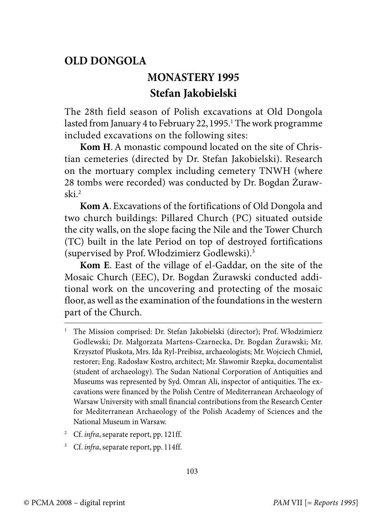## **OLD DONGOLA**

## **MONASTERY 1995 Stefan Jakobielski**

The 28th field season of Polish excavations at Old Dongola lasted from January 4 to February 22, 1995.' The work programme included excavations on the following sites:

**Kom H**. A monastic compound located on the site of Christian cemeteries (directed by Dr. Stefan Jakobielski). Research on the mortuary complex including cemetery TNWH (where 28 tombs were recorded) was conducted by Dr. Bogdan Żurawski.<sup>2</sup>

**Kom A**. Excavations of the fortifications of Old Dongola and two church buildings: Pillared Church (PC) situated outside the city walls, on the slope facing the Nile and the Tower Church (TC) built in the late Period on top of destroyed fortifications (supervised by Prof. Włodzimierz Godlewski).<sup>3</sup>

**Kom E**. East of the village of el-Gaddar, on the site of the Mosaic Church (EEC), Dr. Bogdan Żurawski conducted additional work on the uncovering and protecting of the mosaic floor, as well as the examination of the foundations in the western part of the Church.

- <sup>2</sup> Cf. infra, separate report, pp. 121ff.
- <sup>3</sup> Cf. infra, separate report, pp. 114ff.

<sup>1</sup> The Mission comprised: Dr. Stefan Jakobielski (director); Prof. Włodzimierz Godlewski; Dr. Małgorzata Martens-Czarnecka, Dr. Bogdan Żurawski; Mr. Krzysztof Pluskota, Mrs. Ida Ryl-Preibisz, archaeologists; Mr. Wojciech Chmiel, restorer; Eng. Radosław Kostro, architect; Mr. Sławomir Rzepka, documentalist (student of archaeology). The Sudan National Corporation of Antiquities and Museums was represented by Syd. Omran Ali, inspector of antiquities. The excavations were financed by the Polish Centre of Mediterranean Archaeology of Warsaw University with small financial contributions from the Research Center for Mediterranean Archaeology of the Polish Academy of Sciences and the National Museum in Warsaw.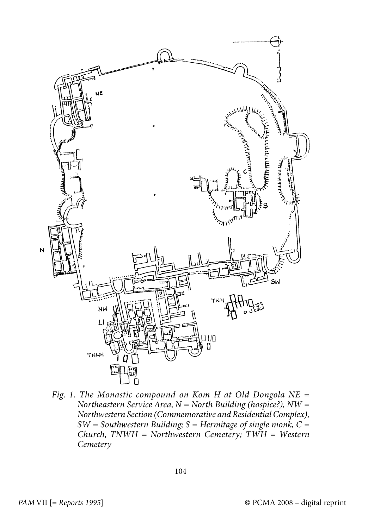

Fig. 1. The Monastic compound on Kom H at Old Dongola  $NE =$ Northeastern Service Area,  $N =$  North Building (hospice?),  $NW =$ Northwestern Section (Commemorative and Residential Complex),  $SW =$  Southwestern Building; S = Hermitage of single monk, C =  $Church, TNWH = Northwestern$  Cemetery;  $TWH = Western$ **Cemetery**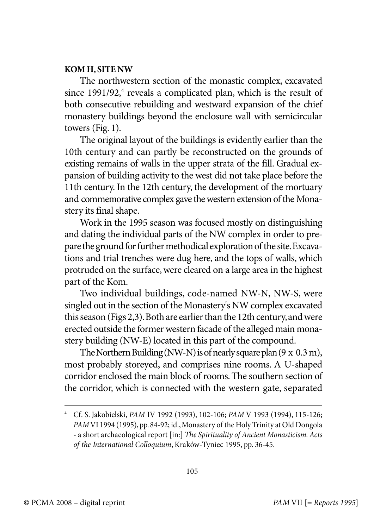## **KOM H, SITE NW**

The northwestern section of the monastic complex, excavated since 1991/92,<sup>4</sup> reveals a complicated plan, which is the result of both consecutive rebuilding and westward expansion of the chief monastery buildings beyond the enclosure wall with semicircular towers (Fig. 1).

The original layout of the buildings is evidently earlier than the 10th century and can partly be reconstructed on the grounds of existing remains of walls in the upper strata of the fill. Gradual expansion of building activity to the west did not take place before the 11th century. In the 12th century, the development of the mortuary and commemorative complex gave the western extension of the Monastery its final shape.

Work in the 1995 season was focused mostly on distinguishing and dating the individual parts of the NW complex in order to prepare the ground for further methodical exploration of the site. Excavations and trial trenches were dug here, and the tops of walls, which protruded on the surface, were cleared on a large area in the highest part of the Kom.

Two individual buildings, code-named NW-N, NW-S, were singled out in the section of the Monastery's NW complex excavated this season (Figs 2,3). Both are earlier than the 12th century, and were erected outside the former western facade of the alleged main monastery building (NW-E) located in this part of the compound.

The Northern Building (NW-N) is of nearly square plan (9 x 0.3 m), most probably storeyed, and comprises nine rooms. A U-shaped corridor enclosed the main block of rooms. The southern section of the corridor, which is connected with the western gate, separated

<sup>4</sup> Cf. S. Jakobielski, PAM IV 1992 (1993), 102-106; PAM V 1993 (1994), 115-126; PAMVI 1994 (1995), pp. 84-92; id., Monastery of the Holy Trinity at Old Dongola - a short archaeological report [in:] The Spirituality of Ancient Monasticism. Acts of the International Colloquium, Kraków-Tyniec 1995, pp. 36-45.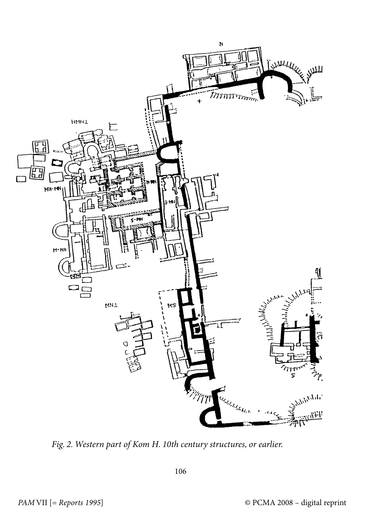

Fig. 2. Western part of Kom H. 10th century structures, or earlier.

106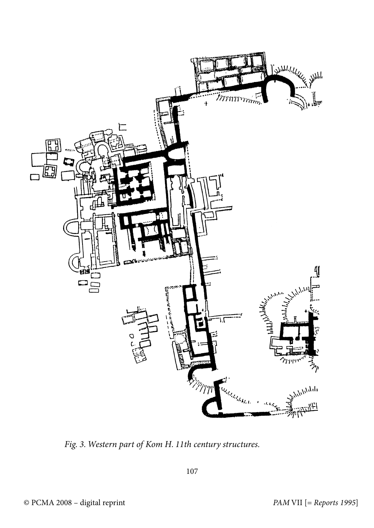

Fig. 3. Western part of Kom H. 11th century structures.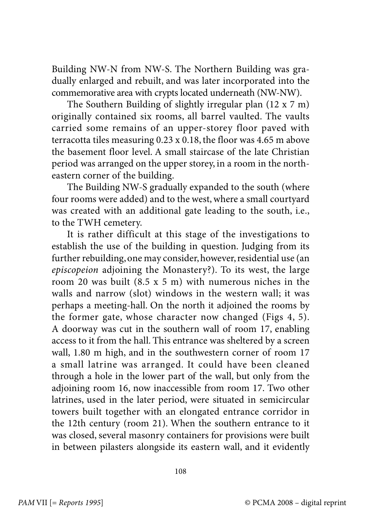Building NW-N from NW-S. The Northern Building was gradually enlarged and rebuilt, and was later incorporated into the commemorative area with crypts located underneath (NW-NW).

The Southern Building of slightly irregular plan (12 x 7 m) originally contained six rooms, all barrel vaulted. The vaults carried some remains of an upper-storey floor paved with terracotta tiles measuring 0.23 x 0.18, the floor was 4.65 m above the basement floor level. A small staircase of the late Christian period was arranged on the upper storey, in a room in the northeastern corner of the building.

The Building NW-S gradually expanded to the south (where four rooms were added) and to the west, where a small courtyard was created with an additional gate leading to the south, i.e., to the TWH cemetery.

It is rather difficult at this stage of the investigations to establish the use of the building in question. Judging from its further rebuilding, one may consider, however, residential use (an episcopeion adjoining the Monastery?). To its west, the large room 20 was built (8.5 x 5 m) with numerous niches in the walls and narrow (slot) windows in the western wall; it was perhaps a meeting-hall. On the north it adjoined the rooms by the former gate, whose character now changed (Figs 4, 5). A doorway was cut in the southern wall of room 17, enabling access to it from the hall. This entrance was sheltered by a screen wall, 1.80 m high, and in the southwestern corner of room 17 a small latrine was arranged. It could have been cleaned through a hole in the lower part of the wall, but only from the adjoining room 16, now inaccessible from room 17. Two other latrines, used in the later period, were situated in semicircular towers built together with an elongated entrance corridor in the 12th century (room 21). When the southern entrance to it was closed, several masonry containers for provisions were built in between pilasters alongside its eastern wall, and it evidently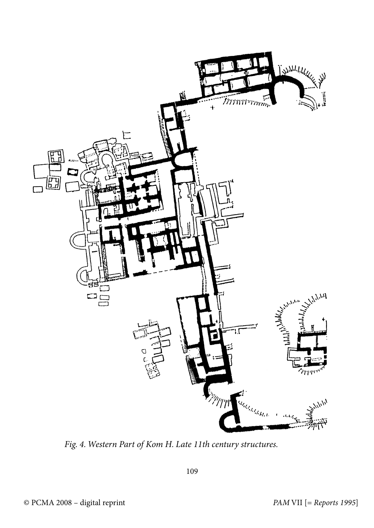

Fig. 4. Western Part of Kom H. Late 11th century structures.

109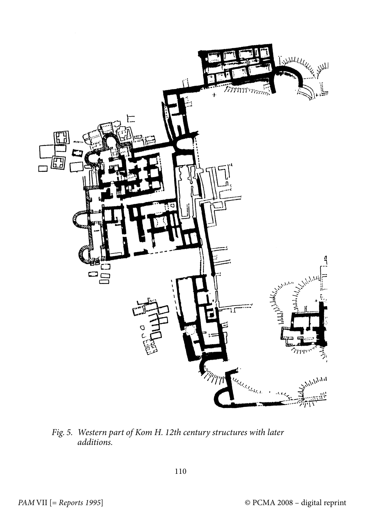

Fig. 5. Western part of Kom H. 12th century structures with later additions.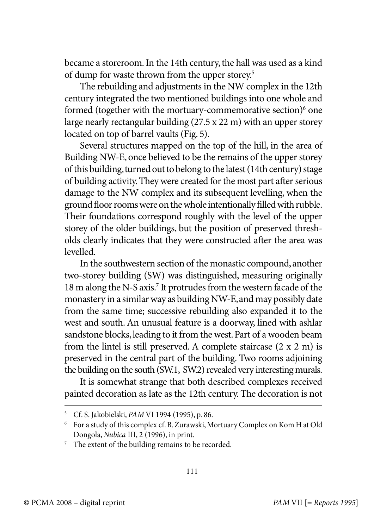became a storeroom. In the 14th century, the hall was used as a kind of dump for waste thrown from the upper storey.<sup>5</sup>

The rebuilding and adjustments in the NW complex in the 12th century integrated the two mentioned buildings into one whole and formed (together with the mortuary-commemorative section)<sup>6</sup> one large nearly rectangular building (27.5 x 22 m) with an upper storey located on top of barrel vaults (Fig. 5).

Several structures mapped on the top of the hill, in the area of Building NW-E, once believed to be the remains of the upper storey of this building, turned out to belong to the latest (14th century) stage of building activity. They were created for the most part after serious damage to the NW complex and its subsequent levelling, when the ground floor rooms were on the whole intentionally filled with rubble. Their foundations correspond roughly with the level of the upper storey of the older buildings, but the position of preserved thresholds clearly indicates that they were constructed after the area was levelled.

In the southwestern section of the monastic compound, another two-storey building (SW) was distinguished, measuring originally 18 m along the N-S axis.<sup>7</sup> It protrudes from the western facade of the monastery in a similar way as building NW-E, and may possibly date from the same time; successive rebuilding also expanded it to the west and south. An unusual feature is a doorway, lined with ashlar sandstone blocks, leading to it from the west. Part of a wooden beam from the lintel is still preserved. A complete staircase (2 x 2 m) is preserved in the central part of the building. Two rooms adjoining the building on the south (SW.1, SW.2) revealed very interesting murals.

It is somewhat strange that both described complexes received painted decoration as late as the 12th century. The decoration is not

<sup>5</sup> Cf. S. Jakobielski, PAM VI 1994 (1995), p. 86.

<sup>6</sup> For a study of this complex cf. B. Żurawski, Mortuary Complex on Kom H at Old Dongola, Nubica III, 2 (1996), in print.

<sup>&</sup>lt;sup>7</sup> The extent of the building remains to be recorded.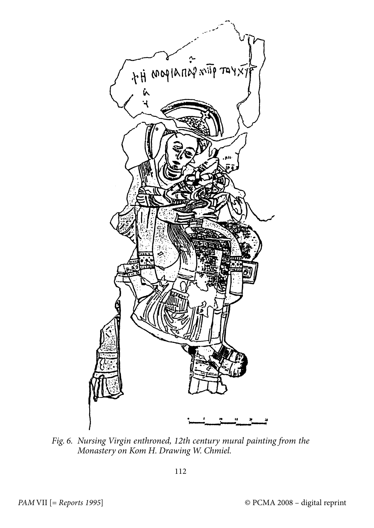

Fig. 6. Nursing Virgin enthroned, 12th century mural painting from the Monastery on Kom H. Drawing W. Chmiel.